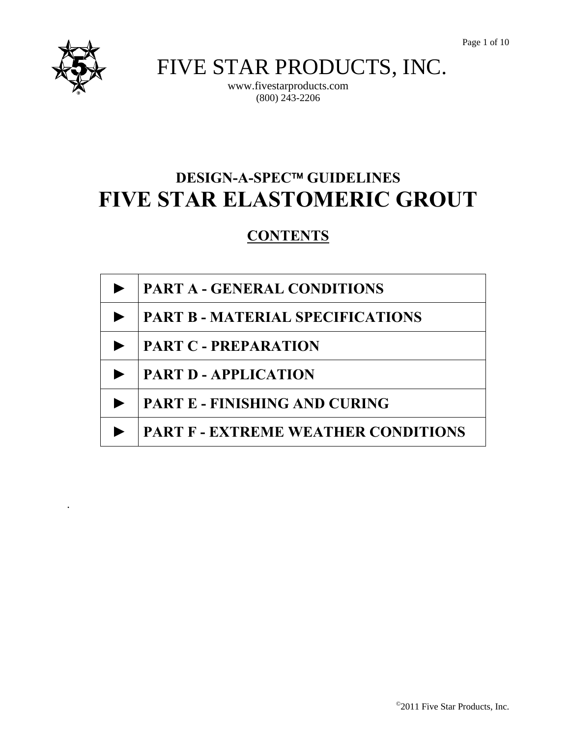

.

FIVE STAR PRODUCTS, INC.

www.fivestarproducts.com (800) 243-2206

# **DESIGN-A-SPEC™ GUIDELINES FIVE STAR ELASTOMERIC GROUT**

# **CONTENTS**

| <b>PART A - GENERAL CONDITIONS</b>      |
|-----------------------------------------|
| <b>PART B - MATERIAL SPECIFICATIONS</b> |
| <b>PART C - PREPARATION</b>             |
| <b>PART D - APPLICATION</b>             |
| <b>PART E - FINISHING AND CURING</b>    |
| PART F - EXTREME WEATHER CONDITIONS     |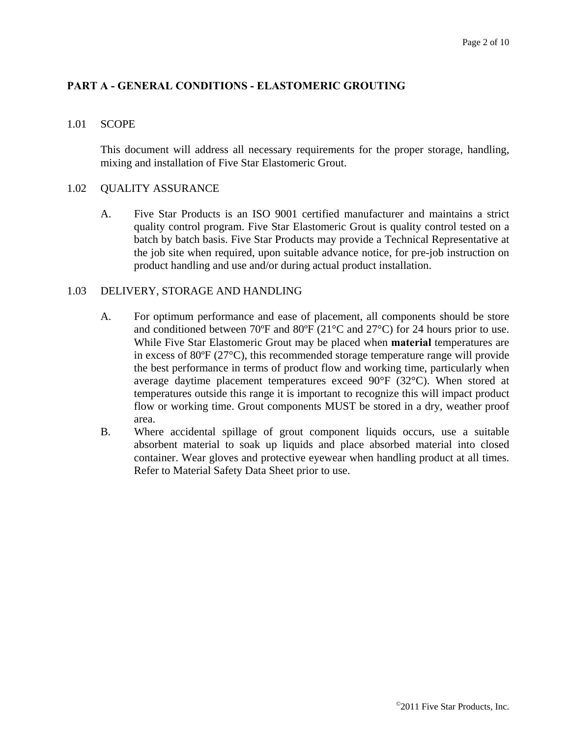#### **PART A - GENERAL CONDITIONS - ELASTOMERIC GROUTING**

#### 1.01 SCOPE

This document will address all necessary requirements for the proper storage, handling, mixing and installation of Five Star Elastomeric Grout.

#### 1.02 QUALITY ASSURANCE

A. Five Star Products is an ISO 9001 certified manufacturer and maintains a strict quality control program. Five Star Elastomeric Grout is quality control tested on a batch by batch basis. Five Star Products may provide a Technical Representative at the job site when required, upon suitable advance notice, for pre-job instruction on product handling and use and/or during actual product installation.

#### 1.03 DELIVERY, STORAGE AND HANDLING

- A. For optimum performance and ease of placement, all components should be store and conditioned between 70ºF and 80ºF (21°C and 27°C) for 24 hours prior to use. While Five Star Elastomeric Grout may be placed when **material** temperatures are in excess of  $80^{\circ}F(27^{\circ}C)$ , this recommended storage temperature range will provide the best performance in terms of product flow and working time, particularly when average daytime placement temperatures exceed 90°F (32°C). When stored at temperatures outside this range it is important to recognize this will impact product flow or working time. Grout components MUST be stored in a dry, weather proof area.
- B. Where accidental spillage of grout component liquids occurs, use a suitable absorbent material to soak up liquids and place absorbed material into closed container. Wear gloves and protective eyewear when handling product at all times. Refer to Material Safety Data Sheet prior to use.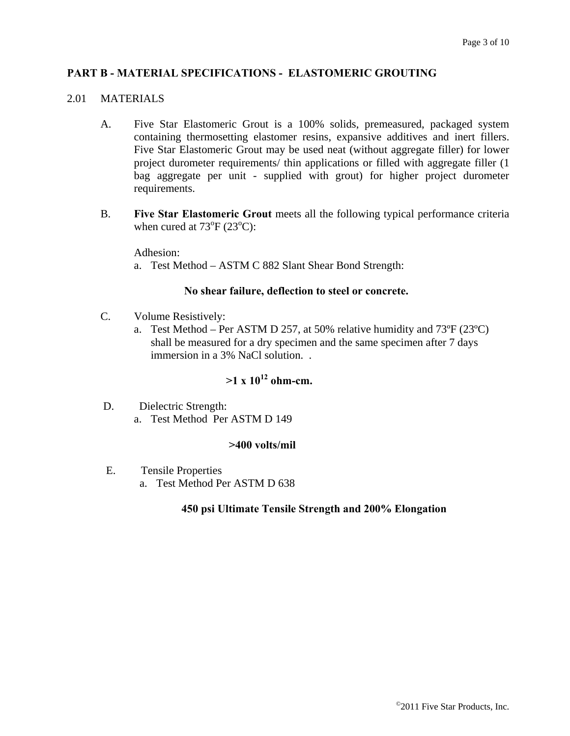#### **PART B - MATERIAL SPECIFICATIONS - ELASTOMERIC GROUTING**

## 2.01 MATERIALS

- A. Five Star Elastomeric Grout is a 100% solids, premeasured, packaged system containing thermosetting elastomer resins, expansive additives and inert fillers. Five Star Elastomeric Grout may be used neat (without aggregate filler) for lower project durometer requirements/ thin applications or filled with aggregate filler (1 bag aggregate per unit - supplied with grout) for higher project durometer requirements.
- B. **Five Star Elastomeric Grout** meets all the following typical performance criteria when cured at  $73^{\circ}F(23^{\circ}C)$ :

Adhesion:

a. Test Method – ASTM C 882 Slant Shear Bond Strength:

#### **No shear failure, deflection to steel or concrete.**

- C. Volume Resistively:
	- a. Test Method Per ASTM D 257, at 50% relative humidity and 73ºF (23ºC) shall be measured for a dry specimen and the same specimen after 7 days immersion in a 3% NaCl solution. .

# $>1 \times 10^{12}$  ohm-cm.

 D. Dielectric Strength: a. Test Method Per ASTM D 149

#### **>400 volts/mil**

E. Tensile Properties a. Test Method Per ASTM D 638

#### **450 psi Ultimate Tensile Strength and 200% Elongation**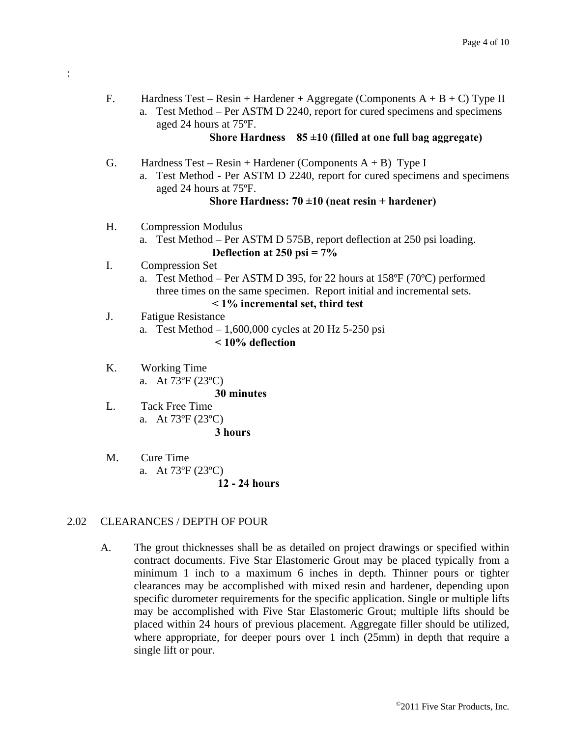F. Hardness Test – Resin + Hardener + Aggregate (Components  $A + B + C$ ) Type II a. Test Method – Per ASTM D 2240, report for cured specimens and specimens aged 24 hours at 75ºF.

#### **Shore Hardness 85 ±10 (filled at one full bag aggregate)**

- G. Hardness Test Resin + Hardener (Components  $A + B$ ) Type I
	- a. Test Method Per ASTM D 2240, report for cured specimens and specimens aged 24 hours at 75ºF.

# **Shore Hardness: 70 ±10 (neat resin + hardener)**

- H. Compression Modulus
	- a. Test Method Per ASTM D 575B, report deflection at 250 psi loading. **Deflection at 250 psi = 7%**
- I. Compression Set

:

- a. Test Method Per ASTM D 395, for 22 hours at 158ºF (70ºC) performed three times on the same specimen. Report initial and incremental sets. **< 1% incremental set, third test**
- J. Fatigue Resistance
	- a. Test Method 1,600,000 cycles at 20 Hz 5-250 psi **< 10% deflection**
- K. Working Time a. At 73ºF (23ºC)

**30 minutes** 

- L. Tack Free Time a. At 73ºF (23ºC) **3 hours**
- M. Cure Time a. At 73ºF (23ºC)

#### **12 - 24 hours**

#### 2.02 CLEARANCES / DEPTH OF POUR

A. The grout thicknesses shall be as detailed on project drawings or specified within contract documents. Five Star Elastomeric Grout may be placed typically from a minimum 1 inch to a maximum 6 inches in depth. Thinner pours or tighter clearances may be accomplished with mixed resin and hardener, depending upon specific durometer requirements for the specific application. Single or multiple lifts may be accomplished with Five Star Elastomeric Grout; multiple lifts should be placed within 24 hours of previous placement. Aggregate filler should be utilized, where appropriate, for deeper pours over 1 inch (25mm) in depth that require a single lift or pour.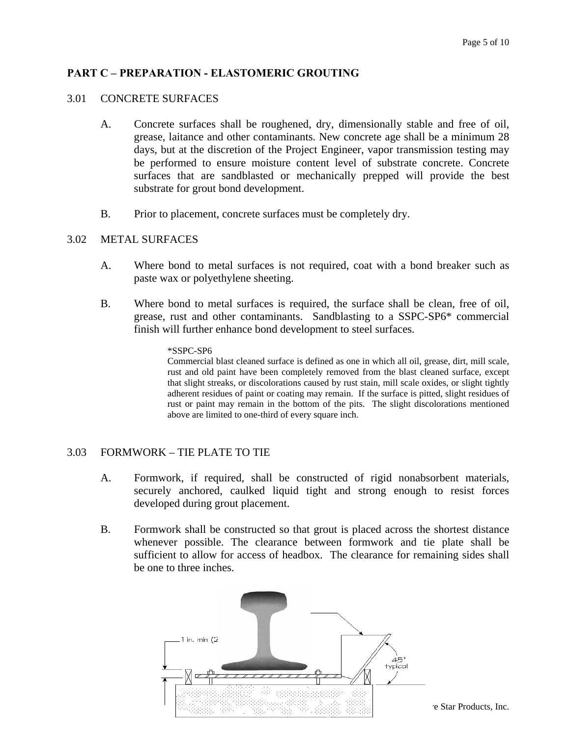# **PART C – PREPARATION - ELASTOMERIC GROUTING**

#### 3.01 CONCRETE SURFACES

- A. Concrete surfaces shall be roughened, dry, dimensionally stable and free of oil, grease, laitance and other contaminants. New concrete age shall be a minimum 28 days, but at the discretion of the Project Engineer, vapor transmission testing may be performed to ensure moisture content level of substrate concrete. Concrete surfaces that are sandblasted or mechanically prepped will provide the best substrate for grout bond development.
- B. Prior to placement, concrete surfaces must be completely dry.

#### 3.02 METAL SURFACES

- A. Where bond to metal surfaces is not required, coat with a bond breaker such as paste wax or polyethylene sheeting.
- B. Where bond to metal surfaces is required, the surface shall be clean, free of oil, grease, rust and other contaminants. Sandblasting to a SSPC-SP6\* commercial finish will further enhance bond development to steel surfaces.

#### \*SSPC-SP6

Commercial blast cleaned surface is defined as one in which all oil, grease, dirt, mill scale, rust and old paint have been completely removed from the blast cleaned surface, except that slight streaks, or discolorations caused by rust stain, mill scale oxides, or slight tightly adherent residues of paint or coating may remain. If the surface is pitted, slight residues of rust or paint may remain in the bottom of the pits. The slight discolorations mentioned above are limited to one-third of every square inch.

#### 3.03 FORMWORK – TIE PLATE TO TIE

- A. Formwork, if required, shall be constructed of rigid nonabsorbent materials, securely anchored, caulked liquid tight and strong enough to resist forces developed during grout placement.
- B. Formwork shall be constructed so that grout is placed across the shortest distance whenever possible. The clearance between formwork and tie plate shall be sufficient to allow for access of headbox. The clearance for remaining sides shall be one to three inches.



e Star Products, Inc.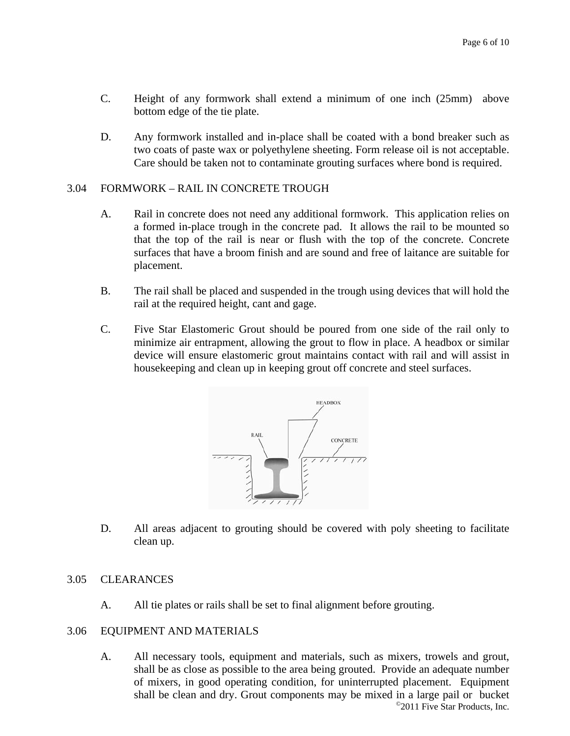- C. Height of any formwork shall extend a minimum of one inch (25mm) above bottom edge of the tie plate.
- D. Any formwork installed and in-place shall be coated with a bond breaker such as two coats of paste wax or polyethylene sheeting. Form release oil is not acceptable. Care should be taken not to contaminate grouting surfaces where bond is required.

#### 3.04 FORMWORK – RAIL IN CONCRETE TROUGH

- A. Rail in concrete does not need any additional formwork. This application relies on a formed in-place trough in the concrete pad. It allows the rail to be mounted so that the top of the rail is near or flush with the top of the concrete. Concrete surfaces that have a broom finish and are sound and free of laitance are suitable for placement.
- B. The rail shall be placed and suspended in the trough using devices that will hold the rail at the required height, cant and gage.
- C. Five Star Elastomeric Grout should be poured from one side of the rail only to minimize air entrapment, allowing the grout to flow in place. A headbox or similar device will ensure elastomeric grout maintains contact with rail and will assist in housekeeping and clean up in keeping grout off concrete and steel surfaces.



D. All areas adjacent to grouting should be covered with poly sheeting to facilitate clean up.

#### 3.05 CLEARANCES

A. All tie plates or rails shall be set to final alignment before grouting.

#### 3.06 EQUIPMENT AND MATERIALS

©2011 Five Star Products, Inc. A. All necessary tools, equipment and materials, such as mixers, trowels and grout, shall be as close as possible to the area being grouted. Provide an adequate number of mixers, in good operating condition, for uninterrupted placement. Equipment shall be clean and dry. Grout components may be mixed in a large pail or bucket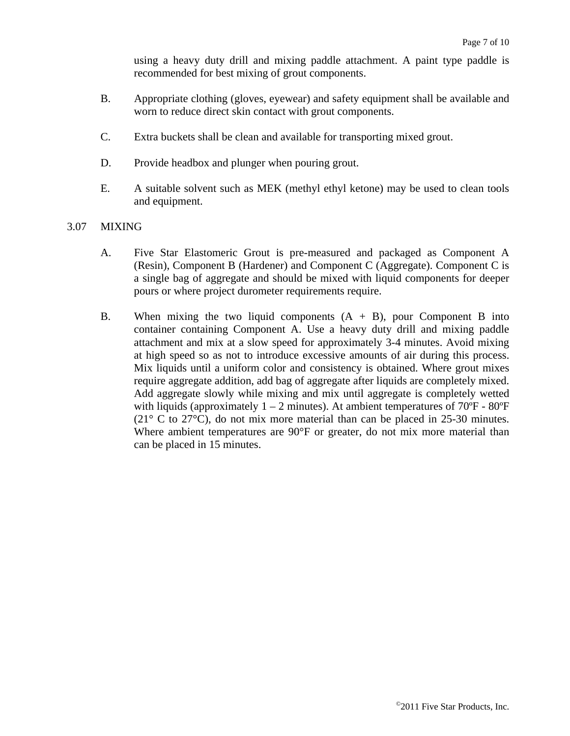using a heavy duty drill and mixing paddle attachment. A paint type paddle is recommended for best mixing of grout components.

- B. Appropriate clothing (gloves, eyewear) and safety equipment shall be available and worn to reduce direct skin contact with grout components.
- C. Extra buckets shall be clean and available for transporting mixed grout.
- D. Provide headbox and plunger when pouring grout.
- E. A suitable solvent such as MEK (methyl ethyl ketone) may be used to clean tools and equipment.
- 3.07 MIXING
	- A. Five Star Elastomeric Grout is pre-measured and packaged as Component A (Resin), Component B (Hardener) and Component C (Aggregate). Component C is a single bag of aggregate and should be mixed with liquid components for deeper pours or where project durometer requirements require.
	- B. When mixing the two liquid components  $(A + B)$ , pour Component B into container containing Component A. Use a heavy duty drill and mixing paddle attachment and mix at a slow speed for approximately 3-4 minutes. Avoid mixing at high speed so as not to introduce excessive amounts of air during this process. Mix liquids until a uniform color and consistency is obtained. Where grout mixes require aggregate addition, add bag of aggregate after liquids are completely mixed. Add aggregate slowly while mixing and mix until aggregate is completely wetted with liquids (approximately  $1 - 2$  minutes). At ambient temperatures of  $70^{\circ}$ F -  $80^{\circ}$ F ( $21^{\circ}$  C to  $27^{\circ}$ C), do not mix more material than can be placed in 25-30 minutes. Where ambient temperatures are 90°F or greater, do not mix more material than can be placed in 15 minutes.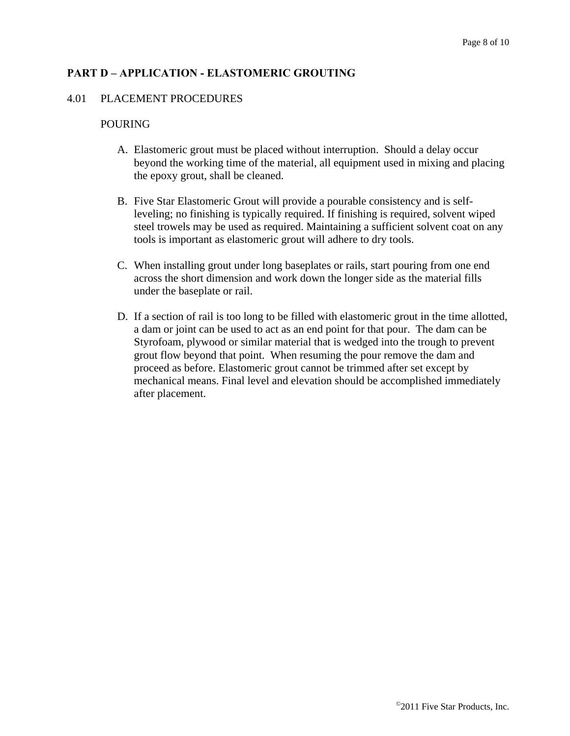# **PART D – APPLICATION - ELASTOMERIC GROUTING**

#### 4.01 PLACEMENT PROCEDURES

#### POURING

- A. Elastomeric grout must be placed without interruption. Should a delay occur beyond the working time of the material, all equipment used in mixing and placing the epoxy grout, shall be cleaned.
- B. Five Star Elastomeric Grout will provide a pourable consistency and is selfleveling; no finishing is typically required. If finishing is required, solvent wiped steel trowels may be used as required. Maintaining a sufficient solvent coat on any tools is important as elastomeric grout will adhere to dry tools.
- C. When installing grout under long baseplates or rails, start pouring from one end across the short dimension and work down the longer side as the material fills under the baseplate or rail.
- D. If a section of rail is too long to be filled with elastomeric grout in the time allotted, a dam or joint can be used to act as an end point for that pour. The dam can be Styrofoam, plywood or similar material that is wedged into the trough to prevent grout flow beyond that point. When resuming the pour remove the dam and proceed as before. Elastomeric grout cannot be trimmed after set except by mechanical means. Final level and elevation should be accomplished immediately after placement.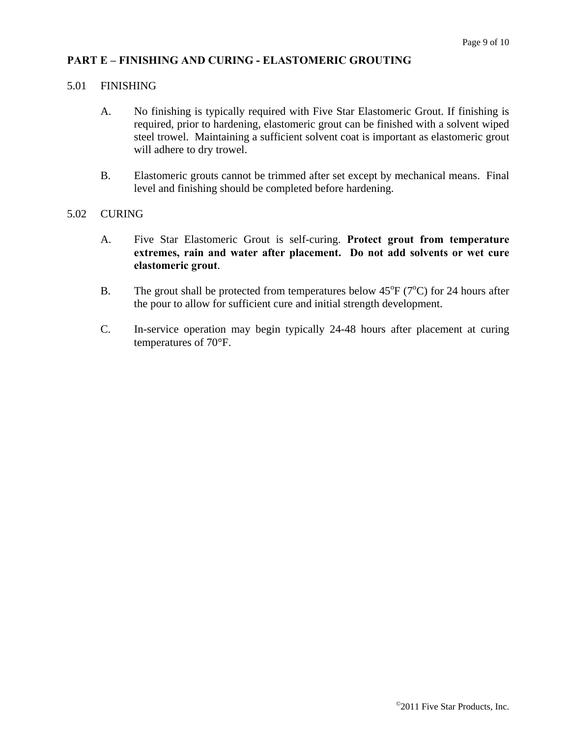#### **PART E – FINISHING AND CURING - ELASTOMERIC GROUTING**

#### 5.01 FINISHING

- A. No finishing is typically required with Five Star Elastomeric Grout. If finishing is required, prior to hardening, elastomeric grout can be finished with a solvent wiped steel trowel. Maintaining a sufficient solvent coat is important as elastomeric grout will adhere to dry trowel.
- B. Elastomeric grouts cannot be trimmed after set except by mechanical means. Final level and finishing should be completed before hardening.

#### 5.02 CURING

- A. Five Star Elastomeric Grout is self-curing. **Protect grout from temperature extremes, rain and water after placement. Do not add solvents or wet cure elastomeric grout**.
- B. The grout shall be protected from temperatures below  $45^{\circ}F$  (7 $^{\circ}C$ ) for 24 hours after the pour to allow for sufficient cure and initial strength development.
- C. In-service operation may begin typically 24-48 hours after placement at curing temperatures of 70°F.